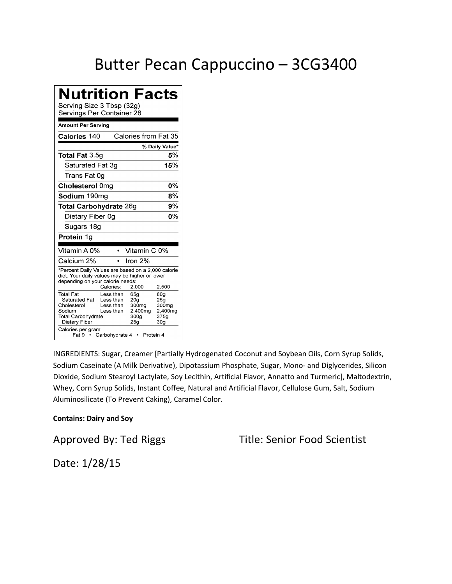### Butter Pecan Cappuccino – 3CG3400

| <b>Nutrition Facts</b><br>Serving Size 3 Tbsp (32g)<br>Servings Per Container 28                                                         |                                                                    |                                                                                      |                                                                                   |
|------------------------------------------------------------------------------------------------------------------------------------------|--------------------------------------------------------------------|--------------------------------------------------------------------------------------|-----------------------------------------------------------------------------------|
| Amount Per Serving                                                                                                                       |                                                                    |                                                                                      |                                                                                   |
| Calories 140                                                                                                                             |                                                                    | Calories from Fat 35                                                                 |                                                                                   |
|                                                                                                                                          |                                                                    |                                                                                      | % Daily Value*                                                                    |
| <b>Total Fat 3.5g</b>                                                                                                                    |                                                                    |                                                                                      | 5%                                                                                |
| Saturated Fat 3g                                                                                                                         |                                                                    |                                                                                      | 15%                                                                               |
| Trans Fat 0q                                                                                                                             |                                                                    |                                                                                      |                                                                                   |
| Cholesterol 0mg                                                                                                                          |                                                                    |                                                                                      | 0%                                                                                |
| Sodium 190mg                                                                                                                             |                                                                    |                                                                                      | 8%                                                                                |
| <b>Total Carbohydrate 26g</b>                                                                                                            |                                                                    |                                                                                      | 9%                                                                                |
| Dietary Fiber 0q                                                                                                                         |                                                                    |                                                                                      | 0%                                                                                |
| Sugars 18g                                                                                                                               |                                                                    |                                                                                      |                                                                                   |
| Protein 1g                                                                                                                               |                                                                    |                                                                                      |                                                                                   |
| Vitamin A 0%                                                                                                                             | $\bullet$                                                          | Vitamin C 0%                                                                         |                                                                                   |
| Calcium 2%                                                                                                                               |                                                                    | Iron 2%                                                                              |                                                                                   |
| *Percent Daily Values are based on a 2,000 calorie<br>diet. Your daily values may be higher or lower<br>depending on your calorie needs: | Calories:                                                          | 2,000                                                                                | 2,500                                                                             |
| <b>Total Fat</b><br>Saturated Fat<br>Cholesterol<br>Sodium<br><b>Total Carbohydrate</b><br>Dietary Fiber<br>Calories per gram:<br>Fat9 ∙ | Less than<br>Less than<br>Less than<br>Less than<br>Carbohydrate 4 | 65g<br>20 <sub>g</sub><br>300mg<br>2,400mg<br>300g<br>25 <sub>q</sub><br>• Protein 4 | 80 <sub>q</sub><br>25 <sub>g</sub><br>300mg<br>2,400mg<br>375g<br>30 <sub>g</sub> |

INGREDIENTS: Sugar, Creamer [Partially Hydrogenated Coconut and Soybean Oils, Corn Syrup Solids, Sodium Caseinate (A Milk Derivative), Dipotassium Phosphate, Sugar, Mono- and Diglycerides, Silicon Dioxide, Sodium Stearoyl Lactylate, Soy Lecithin, Artificial Flavor, Annatto and Turmeric], Maltodextrin, Whey, Corn Syrup Solids, Instant Coffee, Natural and Artificial Flavor, Cellulose Gum, Salt, Sodium Aluminosilicate (To Prevent Caking), Caramel Color.

#### **Contains: Dairy and Soy**

Approved By: Ted Riggs Title: Senior Food Scientist

Date: 1/28/15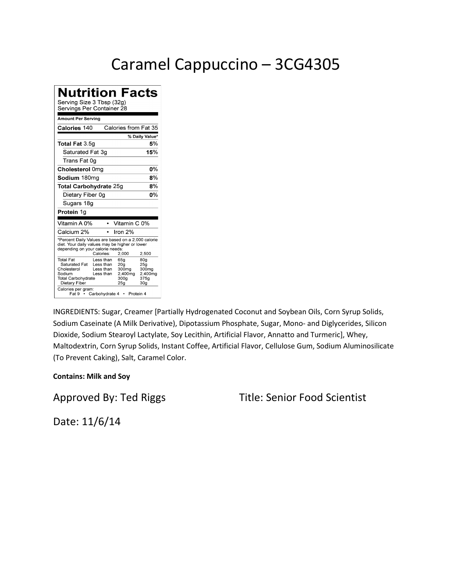### Caramel Cappuccino – 3CG4305

**Nutrition Facts** Serving Size 3 Tbsp (32g) Servings Per Container 28 **Amount Per Serving** Calories 140 Calories from Fat 35 % Daily Value\* Total Fat 3.5g 5% Saturated Fat 3g 15% Trans Fat 0g Cholesterol 0mg 0% Sodium 180mg  $\overline{8\%}$ Total Carbohydrate 25g  $\mathbf{8\%}$ Dietary Fiber 0g  $\overline{0\%}$ Sugars 18g Protein 1g Vitamin A 0% • Vitamin C 0% Calcium 2%  $\cdot$  Iron 2% \*Percent Daily Values are based on a 2,000 calorie diet. Your daily values may be higher or lower<br>depending on your calorie needs: Calories: 2,000 2,500 80g<br>25g<br>300mg Total Fat Less than 65g Saturated Fat<br>Cholesterol Less than 20g<br>300mg Less than 2,400mg<br>300g 2,400mg<br>375g Sodium Less than Total Carbohydrate Dietary Fiber  $25g$  $30<sub>g</sub>$ Calories per gram:<br>Fat 9 · Carbohydrate 4 · Protein 4

INGREDIENTS: Sugar, Creamer [Partially Hydrogenated Coconut and Soybean Oils, Corn Syrup Solids, Sodium Caseinate (A Milk Derivative), Dipotassium Phosphate, Sugar, Mono- and Diglycerides, Silicon Dioxide, Sodium Stearoyl Lactylate, Soy Lecithin, Artificial Flavor, Annatto and Turmeric], Whey, Maltodextrin, Corn Syrup Solids, Instant Coffee, Artificial Flavor, Cellulose Gum, Sodium Aluminosilicate (To Prevent Caking), Salt, Caramel Color.

#### **Contains: Milk and Soy**

Approved By: Ted Riggs Title: Senior Food Scientist

Date: 11/6/14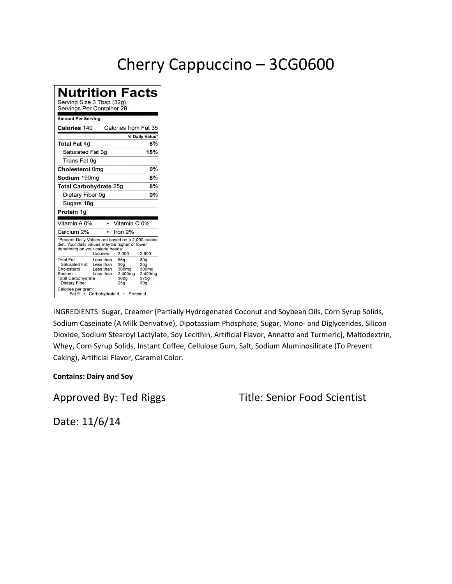## Cherry Cappuccino – 3CG0600

**Nutrition Facts** Serving Size 3 Tbsp (32g) Servings Per Container 28 **Amount Per Serving** Calories from Fat 35 Calories 140 % Daily Value\* **Total Fat 4g**  $6%$ Saturated Fat 3g 15% Trans Fat 0g Cholesterol 0mg 0% Sodium 190mg  $\overline{8\%}$ Total Carbohydrate 25g  $\mathbf{8\%}$ Dietary Fiber 0g  $\overline{0\%}$ Sugars 18g Protein 1g Vitamin A 0% • Vitamin C 0% Calcium 2%  $\cdot$  Iron 2% \*Percent Daily Values are based on a 2,000 calorie diet. Your daily values may be higher or lower<br>depending on your calorie needs: Calories: 2,000 2,500 80g<br>25g<br>300mg Total Fat Less than 65g Saturated Fat<br>Cholesterol Less than 20g<br>300mg Less than 2,400mg<br>300g 2,400mg<br>375g Sodium Less than Total Carbohydrate Dietary Fiber  $25g$  $30<sub>g</sub>$ Calories per gram:<br>Fat 9 · Carbohydrate 4 · Protein 4

INGREDIENTS: Sugar, Creamer [Partially Hydrogenated Coconut and Soybean Oils, Corn Syrup Solids, Sodium Caseinate (A Milk Derivative), Dipotassium Phosphate, Sugar, Mono- and Diglycerides, Silicon Dioxide, Sodium Stearoyl Lactylate, Soy Lecithin, Artificial Flavor, Annatto and Turmeric], Maltodextrin, Whey, Corn Syrup Solids, Instant Coffee, Cellulose Gum, Salt, Sodium Aluminosilicate (To Prevent Caking), Artificial Flavor, Caramel Color.

#### **Contains: Dairy and Soy**

Approved By: Ted Riggs Title: Senior Food Scientist

Date: 11/6/14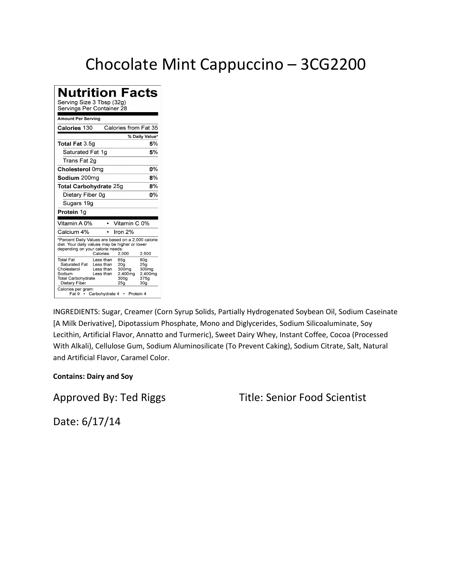### Chocolate Mint Cappuccino – 3CG2200

| <b>Nutrition Facts</b><br>Serving Size 3 Tbsp (32g)<br>Servings Per Container 28                                                         |                                                                            |                                                                                                |                                                                       |
|------------------------------------------------------------------------------------------------------------------------------------------|----------------------------------------------------------------------------|------------------------------------------------------------------------------------------------|-----------------------------------------------------------------------|
| <b>Amount Per Serving</b>                                                                                                                |                                                                            |                                                                                                |                                                                       |
| Calories 130                                                                                                                             |                                                                            | Calories from Fat 35                                                                           |                                                                       |
|                                                                                                                                          |                                                                            |                                                                                                | % Daily Value*                                                        |
| Total Fat 3.5g                                                                                                                           |                                                                            |                                                                                                | 5%                                                                    |
| Saturated Fat 1g                                                                                                                         |                                                                            |                                                                                                | 5%                                                                    |
| Trans Fat 2g                                                                                                                             |                                                                            |                                                                                                |                                                                       |
| Cholesterol 0mg                                                                                                                          |                                                                            |                                                                                                | $0\%$                                                                 |
| Sodium 200mg                                                                                                                             |                                                                            |                                                                                                | 8%                                                                    |
| <b>Total Carbohydrate 25g</b>                                                                                                            |                                                                            |                                                                                                | 8%                                                                    |
| Dietary Fiber 0g                                                                                                                         |                                                                            |                                                                                                | 0%                                                                    |
| Sugars 19g                                                                                                                               |                                                                            |                                                                                                |                                                                       |
| Protein 1g                                                                                                                               |                                                                            |                                                                                                |                                                                       |
| Vitamin A 0%                                                                                                                             | $\bullet$                                                                  | Vitamin C 0%                                                                                   |                                                                       |
| Calcium 4%                                                                                                                               |                                                                            | Iron 2%                                                                                        |                                                                       |
| *Percent Daily Values are based on a 2,000 calorie<br>diet. Your daily values may be higher or lower<br>depending on your calorie needs: | Calories:                                                                  | 2,000                                                                                          | 2.500                                                                 |
| Total Fat<br>Saturated Fat<br>Cholesterol<br>Sodium<br><b>Total Carbohydrate</b><br>Dietary Fiber<br>Calories per gram:                  | Less than<br>Less than<br>Less than<br>Less than<br>Fat 9 • Carbohydrate 4 | 65a<br>20 <sub>g</sub><br>300mg<br>2,400mg<br>300 <sub>g</sub><br>25 <sub>g</sub><br>Protein 4 | 80a<br>25 <sub>g</sub><br>300mg<br>2.400mg<br>375a<br>30 <sub>g</sub> |

INGREDIENTS: Sugar, Creamer (Corn Syrup Solids, Partially Hydrogenated Soybean Oil, Sodium Caseinate [A Milk Derivative], Dipotassium Phosphate, Mono and Diglycerides, Sodium Silicoaluminate, Soy Lecithin, Artificial Flavor, Annatto and Turmeric), Sweet Dairy Whey, Instant Coffee, Cocoa (Processed With Alkali), Cellulose Gum, Sodium Aluminosilicate (To Prevent Caking), Sodium Citrate, Salt, Natural and Artificial Flavor, Caramel Color.

#### **Contains: Dairy and Soy**

### Approved By: Ted Riggs Title: Senior Food Scientist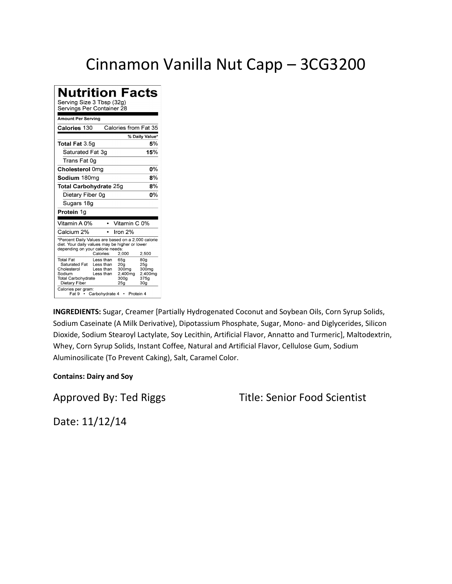### Cinnamon Vanilla Nut Capp – 3CG3200

| <b>Nutrition Facts</b><br>Serving Size 3 Tbsp (32g)<br>Servings Per Container 28                                                                                                                      |                                                                                                                                                               |  |  |  |
|-------------------------------------------------------------------------------------------------------------------------------------------------------------------------------------------------------|---------------------------------------------------------------------------------------------------------------------------------------------------------------|--|--|--|
| Amount Per Servina                                                                                                                                                                                    |                                                                                                                                                               |  |  |  |
| Calories 130                                                                                                                                                                                          | Calories from Fat 35                                                                                                                                          |  |  |  |
|                                                                                                                                                                                                       | % Daily Value*                                                                                                                                                |  |  |  |
| Total Fat 3.5g                                                                                                                                                                                        | 5%                                                                                                                                                            |  |  |  |
| Saturated Fat 3q                                                                                                                                                                                      | 15%                                                                                                                                                           |  |  |  |
| Trans Fat 0g                                                                                                                                                                                          |                                                                                                                                                               |  |  |  |
| Cholesterol 0mg                                                                                                                                                                                       | $0\%$                                                                                                                                                         |  |  |  |
| Sodium 180mg                                                                                                                                                                                          | 8%                                                                                                                                                            |  |  |  |
| 8%<br><b>Total Carbohydrate 25g</b>                                                                                                                                                                   |                                                                                                                                                               |  |  |  |
| n%<br>Dietary Fiber 0g                                                                                                                                                                                |                                                                                                                                                               |  |  |  |
| Sugars 18g                                                                                                                                                                                            |                                                                                                                                                               |  |  |  |
| Protein 1g                                                                                                                                                                                            |                                                                                                                                                               |  |  |  |
| Vitamin A 0%                                                                                                                                                                                          | Vitamin C 0%                                                                                                                                                  |  |  |  |
| Calcium 2%                                                                                                                                                                                            | Iron 2%                                                                                                                                                       |  |  |  |
| *Percent Daily Values are based on a 2,000 calorie<br>diet. Your daily values may be higher or lower<br>depending on your calorie needs:<br>Calories:                                                 | 2.500<br>2,000                                                                                                                                                |  |  |  |
| Total Fat<br>Less than<br>Saturated Fat<br>Less than<br>Cholesterol<br>Less than<br>Sodium<br>Less than<br><b>Total Carbohydrate</b><br>Dietary Fiber<br>Calories per gram:<br>Fat 9 • Carbohydrate 4 | 65a<br>80a<br>20 <sub>a</sub><br>25 <sub>g</sub><br>300mg<br>300mg<br>2,400mg<br>2.400mg<br>375a<br>300a<br>25 <sub>g</sub><br>30 <sub>g</sub><br>• Protein 4 |  |  |  |

**INGREDIENTS:** Sugar, Creamer [Partially Hydrogenated Coconut and Soybean Oils, Corn Syrup Solids, Sodium Caseinate (A Milk Derivative), Dipotassium Phosphate, Sugar, Mono- and Diglycerides, Silicon Dioxide, Sodium Stearoyl Lactylate, Soy Lecithin, Artificial Flavor, Annatto and Turmeric], Maltodextrin, Whey, Corn Syrup Solids, Instant Coffee, Natural and Artificial Flavor, Cellulose Gum, Sodium Aluminosilicate (To Prevent Caking), Salt, Caramel Color.

#### **Contains: Dairy and Soy**

Approved By: Ted Riggs Title: Senior Food Scientist

Date: 11/12/14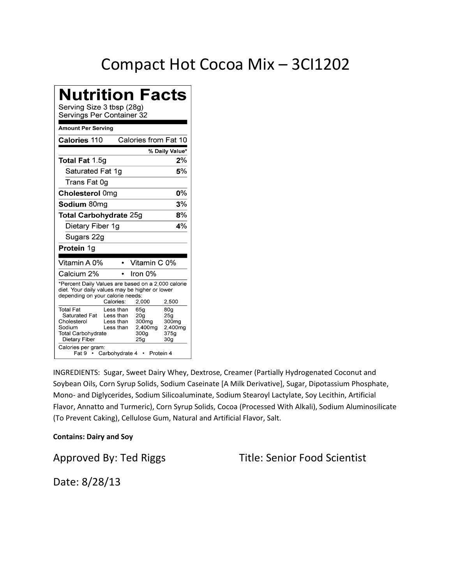### Compact Hot Cocoa Mix – 3CI1202

| Nutrition Facts<br>Serving Size 3 tbsp (28g)<br>Servings Per Container 32                                                                |                                                                    |                                                                                                  |                                                                       |
|------------------------------------------------------------------------------------------------------------------------------------------|--------------------------------------------------------------------|--------------------------------------------------------------------------------------------------|-----------------------------------------------------------------------|
| Amount Per Serving                                                                                                                       |                                                                    |                                                                                                  |                                                                       |
| <b>Calories 110</b>                                                                                                                      |                                                                    | Calories from Fat 10                                                                             |                                                                       |
|                                                                                                                                          |                                                                    |                                                                                                  | % Daily Value*                                                        |
| Total Fat 1.5g                                                                                                                           |                                                                    |                                                                                                  | $2\%$                                                                 |
| Saturated Fat 1g                                                                                                                         |                                                                    |                                                                                                  | 5%                                                                    |
| Trans Fat 0g                                                                                                                             |                                                                    |                                                                                                  |                                                                       |
| Cholesterol 0mg                                                                                                                          |                                                                    |                                                                                                  | 0%                                                                    |
| Sodium 80mg                                                                                                                              |                                                                    |                                                                                                  | 3%                                                                    |
| <b>Total Carbohydrate 25g</b>                                                                                                            |                                                                    |                                                                                                  | 8%                                                                    |
| Dietary Fiber 1g                                                                                                                         |                                                                    |                                                                                                  | 4%                                                                    |
| Sugars 22g                                                                                                                               |                                                                    |                                                                                                  |                                                                       |
| Protein 1g                                                                                                                               |                                                                    |                                                                                                  |                                                                       |
| Vitamin A 0%                                                                                                                             |                                                                    | Vitamin C 0%                                                                                     |                                                                       |
| Calcium 2%                                                                                                                               |                                                                    | Iron 0%                                                                                          |                                                                       |
| *Percent Daily Values are based on a 2,000 calorie<br>diet. Your daily values may be higher or lower<br>depending on your calorie needs: | Calories:                                                          | 2,000                                                                                            | 2,500                                                                 |
| <b>Total Fat</b><br>Saturated Fat<br>Cholesterol<br>Sodium<br>Total Carbohydrate<br>Dietary Fiber<br>Calories per gram:<br>Fat 9   •     | Less than<br>Less than<br>Less than<br>Less than<br>Carbohydrate 4 | 65g<br>20 <sub>g</sub><br>300 <sub>mg</sub><br>2.400mg<br>300g<br>25 <sub>g</sub><br>• Protein 4 | 80 <sub>g</sub><br>25g<br>300mg<br>2.400mg<br>375g<br>30 <sub>g</sub> |

INGREDIENTS: Sugar, Sweet Dairy Whey, Dextrose, Creamer (Partially Hydrogenated Coconut and Soybean Oils, Corn Syrup Solids, Sodium Caseinate [A Milk Derivative], Sugar, Dipotassium Phosphate, Mono- and Diglycerides, Sodium Silicoaluminate, Sodium Stearoyl Lactylate, Soy Lecithin, Artificial Flavor, Annatto and Turmeric), Corn Syrup Solids, Cocoa (Processed With Alkali), Sodium Aluminosilicate (To Prevent Caking), Cellulose Gum, Natural and Artificial Flavor, Salt.

#### **Contains: Dairy and Soy**

Approved By: Ted Riggs Title: Senior Food Scientist

Date: 8/28/13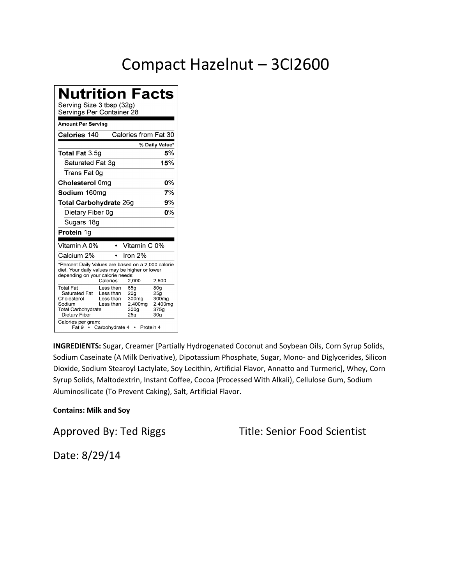## Compact Hazelnut – 3CI2600

### **Nutrition Facts**

Serving Size 3 tbsp (32g)

|                                                                                                                                          | Servings Per Container 28                                          |  |                                                                                                            |                                                                                               |
|------------------------------------------------------------------------------------------------------------------------------------------|--------------------------------------------------------------------|--|------------------------------------------------------------------------------------------------------------|-----------------------------------------------------------------------------------------------|
| <b>Amount Per Serving</b>                                                                                                                |                                                                    |  |                                                                                                            |                                                                                               |
| Calories 140                                                                                                                             |                                                                    |  | Calories from Fat 30                                                                                       |                                                                                               |
|                                                                                                                                          |                                                                    |  |                                                                                                            | % Daily Value*                                                                                |
| <b>Total Fat 3.5g</b>                                                                                                                    |                                                                    |  |                                                                                                            | 5%                                                                                            |
| Saturated Fat 3g                                                                                                                         |                                                                    |  |                                                                                                            | 15%                                                                                           |
| Trans Fat 0q                                                                                                                             |                                                                    |  |                                                                                                            |                                                                                               |
| Cholesterol 0mg                                                                                                                          |                                                                    |  |                                                                                                            | 0%                                                                                            |
| Sodium 160mg                                                                                                                             |                                                                    |  |                                                                                                            | 7%                                                                                            |
| <b>Total Carbohydrate 26g</b>                                                                                                            |                                                                    |  |                                                                                                            | 9%                                                                                            |
| Dietary Fiber 0g                                                                                                                         |                                                                    |  |                                                                                                            | 0%                                                                                            |
| Sugars 18g                                                                                                                               |                                                                    |  |                                                                                                            |                                                                                               |
| Protein 1g                                                                                                                               |                                                                    |  |                                                                                                            |                                                                                               |
| Vitamin A 0%                                                                                                                             |                                                                    |  | Vitamin C 0%                                                                                               |                                                                                               |
| Calcium 2%                                                                                                                               |                                                                    |  | Iron 2%                                                                                                    |                                                                                               |
| *Percent Daily Values are based on a 2,000 calorie<br>diet. Your daily values may be higher or lower<br>depending on your calorie needs: | Calories:                                                          |  | 2,000                                                                                                      | 2,500                                                                                         |
| <b>Total Fat</b><br>Saturated Fat<br>Cholesterol<br>Sodium<br><b>Total Carbohydrate</b><br>Dietary Fiber<br>Calories per gram:<br>Fat 9  | Less than<br>Less than<br>Less than<br>Less than<br>Carbohydrate 4 |  | 65g<br>20 <sub>g</sub><br>300 <sub>mg</sub><br>2,400mg<br>300 <sub>q</sub><br>25 <sub>g</sub><br>Protein 4 | 80 <sub>g</sub><br>25 <sub>g</sub><br>300 <sub>mg</sub><br>2,400mg<br>375g<br>30 <sub>g</sub> |

**INGREDIENTS:** Sugar, Creamer [Partially Hydrogenated Coconut and Soybean Oils, Corn Syrup Solids, Sodium Caseinate (A Milk Derivative), Dipotassium Phosphate, Sugar, Mono- and Diglycerides, Silicon Dioxide, Sodium Stearoyl Lactylate, Soy Lecithin, Artificial Flavor, Annatto and Turmeric], Whey, Corn Syrup Solids, Maltodextrin, Instant Coffee, Cocoa (Processed With Alkali), Cellulose Gum, Sodium Aluminosilicate (To Prevent Caking), Salt, Artificial Flavor.

#### **Contains: Milk and Soy**

Approved By: Ted Riggs Title: Senior Food Scientist

Date: 8/29/14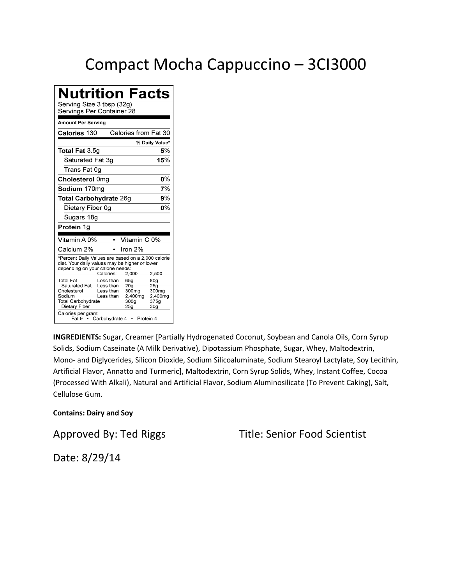### Compact Mocha Cappuccino – 3CI3000

### **Nutrition Facts**

Serving Size 3 tbsp (32g)

| əerviriys Per Container zo                                                                                                                                                                                    |                                                                                    |                                                                                   |
|---------------------------------------------------------------------------------------------------------------------------------------------------------------------------------------------------------------|------------------------------------------------------------------------------------|-----------------------------------------------------------------------------------|
| Amount Per Serving                                                                                                                                                                                            |                                                                                    |                                                                                   |
| <b>Calories 130</b>                                                                                                                                                                                           | Calories from Fat 30                                                               |                                                                                   |
|                                                                                                                                                                                                               |                                                                                    | % Daily Value*                                                                    |
| Total Fat 3.5g                                                                                                                                                                                                |                                                                                    | 5%                                                                                |
| Saturated Fat 3ɑ                                                                                                                                                                                              |                                                                                    | 15%                                                                               |
| Trans Fat 0g                                                                                                                                                                                                  |                                                                                    |                                                                                   |
| Cholesterol 0mg                                                                                                                                                                                               |                                                                                    | 0%                                                                                |
| Sodium 170ma                                                                                                                                                                                                  |                                                                                    | 7%                                                                                |
| Total Carbohydrate 26g                                                                                                                                                                                        |                                                                                    | 9%                                                                                |
| Dietary Fiber 0g                                                                                                                                                                                              |                                                                                    | 0%                                                                                |
| Sugars 18g                                                                                                                                                                                                    |                                                                                    |                                                                                   |
| Protein 1g                                                                                                                                                                                                    |                                                                                    |                                                                                   |
| Vitamin A 0%                                                                                                                                                                                                  | Vitamin C 0%                                                                       |                                                                                   |
| Calcium 2%                                                                                                                                                                                                    | Iron 2%                                                                            |                                                                                   |
| *Percent Daily Values are based on a 2,000 calorie<br>diet. Your daily values may be higher or lower<br>depending on your calorie needs:<br>Calories:                                                         | 2,000                                                                              | 2,500                                                                             |
| <b>Total Fat</b><br>Less than<br>Saturated Fat<br>Less than<br>Cholesterol<br>Less than<br>Sodium<br>Less than<br><b>Total Carbohydrate</b><br>Dietary Fiber<br>Calories per gram:<br>Carbohydrate 4<br>Fat 9 | 65g<br>20 <sub>g</sub><br>300mg<br>2,400mg<br>300 <sub>g</sub><br>25g<br>Protein 4 | 80g<br>25 <sub>g</sub><br>300 <sub>mg</sub><br>2,400mg<br>375a<br>30 <sub>g</sub> |

**INGREDIENTS:** Sugar, Creamer [Partially Hydrogenated Coconut, Soybean and Canola Oils, Corn Syrup Solids, Sodium Caseinate (A Milk Derivative), Dipotassium Phosphate, Sugar, Whey, Maltodextrin, Mono- and Diglycerides, Silicon Dioxide, Sodium Silicoaluminate, Sodium Stearoyl Lactylate, Soy Lecithin, Artificial Flavor, Annatto and Turmeric], Maltodextrin, Corn Syrup Solids, Whey, Instant Coffee, Cocoa (Processed With Alkali), Natural and Artificial Flavor, Sodium Aluminosilicate (To Prevent Caking), Salt, Cellulose Gum.

#### **Contains: Dairy and Soy**

Approved By: Ted Riggs Title: Senior Food Scientist

Date: 8/29/14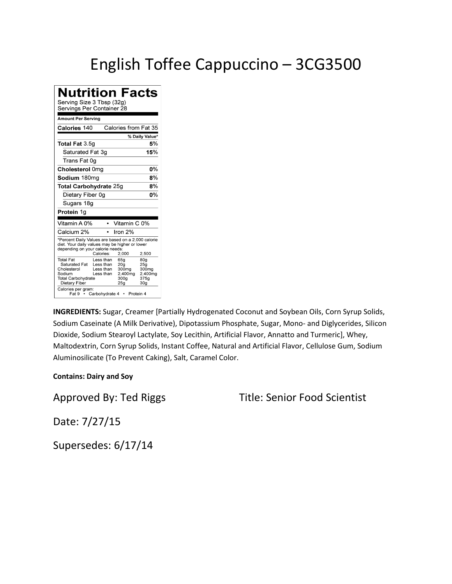### English Toffee Cappuccino – 3CG3500

**Nutrition Facts** Serving Size 3 Tbsp (32g) Servings Per Container 28 **Amount Per Serving** Calories 140 Calories from Fat 35 % Daily Value\* Total Fat 3.5g 5% Saturated Fat 3g 15% Trans Fat 0g Cholesterol 0mg 0% Sodium 180mg  $\overline{8\%}$ Total Carbohydrate 25g  $\mathbf{8\%}$ Dietary Fiber 0g  $\overline{0\%}$ Sugars 18g Protein 1g Vitamin A 0% • Vitamin C 0% Calcium 2%  $\cdot$  Iron 2% \*Percent Daily Values are based on a 2,000 calorie diet. Your daily values may be higher or lower<br>depending on your calorie needs: 2,000 2,500 Calories: 80g<br>25g<br>300mg Total Fat Less than 65g Saturated Fat<br>Cholesterol Less than 20g<br>300mg Less than 2,400mg<br>300g 2,400mg<br>375g Sodium Less than Total Carbohydrate Dietary Fiber  $25g$  $30<sub>g</sub>$ Calories per gram:<br>Fat 9 · Carbohydrate 4 · Protein 4

**INGREDIENTS:** Sugar, Creamer [Partially Hydrogenated Coconut and Soybean Oils, Corn Syrup Solids, Sodium Caseinate (A Milk Derivative), Dipotassium Phosphate, Sugar, Mono- and Diglycerides, Silicon Dioxide, Sodium Stearoyl Lactylate, Soy Lecithin, Artificial Flavor, Annatto and Turmeric], Whey, Maltodextrin, Corn Syrup Solids, Instant Coffee, Natural and Artificial Flavor, Cellulose Gum, Sodium Aluminosilicate (To Prevent Caking), Salt, Caramel Color.

#### **Contains: Dairy and Soy**

Approved By: Ted Riggs Title: Senior Food Scientist

Date: 7/27/15

Supersedes: 6/17/14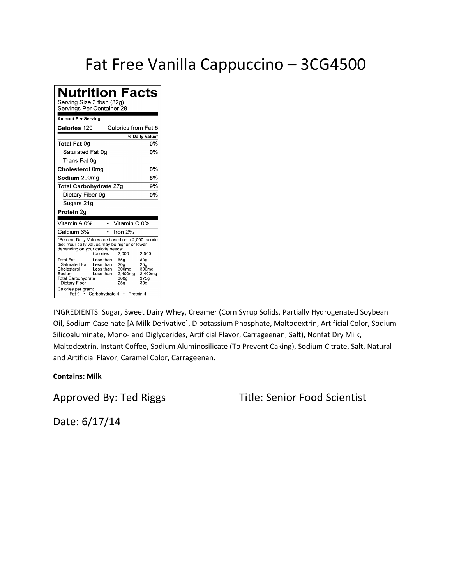### Fat Free Vanilla Cappuccino – 3CG4500

| <b>Nutrition Facts</b><br>Serving Size 3 tbsp (32g)<br>Servings Per Container 28                                                         |                                                                            |                                                                                      |                                                                       |  |  |
|------------------------------------------------------------------------------------------------------------------------------------------|----------------------------------------------------------------------------|--------------------------------------------------------------------------------------|-----------------------------------------------------------------------|--|--|
| Amount Per Serving                                                                                                                       |                                                                            |                                                                                      |                                                                       |  |  |
| Calories 120                                                                                                                             |                                                                            | Calories from Fat 5                                                                  |                                                                       |  |  |
|                                                                                                                                          |                                                                            |                                                                                      | % Daily Value*                                                        |  |  |
| Total Fat 0g                                                                                                                             |                                                                            |                                                                                      | 0%                                                                    |  |  |
| Saturated Fat 0q                                                                                                                         |                                                                            |                                                                                      | n%                                                                    |  |  |
| Trans Fat 0ɑ                                                                                                                             |                                                                            |                                                                                      |                                                                       |  |  |
| Cholesterol 0mg                                                                                                                          |                                                                            |                                                                                      | $0\%$                                                                 |  |  |
| Sodium 200mg                                                                                                                             |                                                                            |                                                                                      | 8%                                                                    |  |  |
|                                                                                                                                          | 9%<br>Total Carbohydrate 27g                                               |                                                                                      |                                                                       |  |  |
| Dietary Fiber 0g                                                                                                                         |                                                                            |                                                                                      | 0%                                                                    |  |  |
| Sugars 21g                                                                                                                               |                                                                            |                                                                                      |                                                                       |  |  |
| Protein 2g                                                                                                                               |                                                                            |                                                                                      |                                                                       |  |  |
| Vitamin A 0%                                                                                                                             | $\bullet$                                                                  | Vitamin C 0%                                                                         |                                                                       |  |  |
| Calcium 6%                                                                                                                               |                                                                            | Iron 2%                                                                              |                                                                       |  |  |
| *Percent Daily Values are based on a 2,000 calorie<br>diet. Your daily values may be higher or lower<br>depending on your calorie needs: | Calories:                                                                  | 2,000                                                                                | 2.500                                                                 |  |  |
| Total Fat<br>Saturated Fat<br>Cholesterol<br>Sodium<br><b>Total Carbohydrate</b><br>Dietary Fiber<br>Calories per gram:                  | Less than<br>Less than<br>Less than<br>Less than<br>Fat 9 • Carbohydrate 4 | 65g<br>20 <sub>a</sub><br>300mg<br>2.400mg<br>300a<br>25 <sub>g</sub><br>• Protein 4 | 80 <sub>q</sub><br>25 <sub>g</sub><br>300mg<br>2,400mg<br>375a<br>30a |  |  |

INGREDIENTS: Sugar, Sweet Dairy Whey, Creamer (Corn Syrup Solids, Partially Hydrogenated Soybean Oil, Sodium Caseinate [A Milk Derivative], Dipotassium Phosphate, Maltodextrin, Artificial Color, Sodium Silicoaluminate, Mono- and Diglycerides, Artificial Flavor, Carrageenan, Salt), Nonfat Dry Milk, Maltodextrin, Instant Coffee, Sodium Aluminosilicate (To Prevent Caking), Sodium Citrate, Salt, Natural and Artificial Flavor, Caramel Color, Carrageenan.

**Contains: Milk**

Approved By: Ted Riggs Title: Senior Food Scientist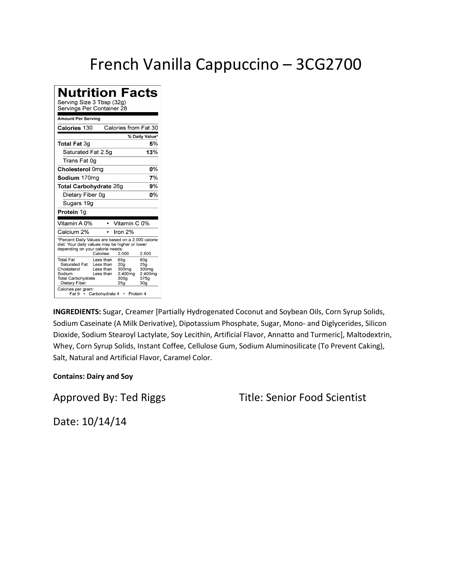### French Vanilla Cappuccino – 3CG2700

**Nutrition Facts** Serving Size 3 Tbsp (32g) Servings Per Container 28 **Amount Per Serving** Calories from Fat 30 Calories 130 % Daily Value\* **Total Fat 3g** 5% Saturated Fat 2.5g 13% Trans Fat 0g Cholesterol 0mg 0% Sodium 170mg  $7%$ Total Carbohydrate 26g  $9\%$ Dietary Fiber 0g  $\overline{0\%}$ Sugars 19g Protein 1g Vitamin A 0% • Vitamin C 0% Calcium 2%  $\cdot$  Iron 2% \*Percent Daily Values are based on a 2,000 calorie diet. Your daily values may be higher or lower<br>depending on your calorie needs: 2,000 2,500 Calories: 80g<br>25g<br>300mg Total Fat Less than 65g Saturated Fat<br>Cholesterol Less than 20g<br>300mg Less than 2,400mg<br>300g 2,400mg<br>375g Sodium Less than Total Carbohydrate Dietary Fiber  $25g$  $30<sub>g</sub>$ Calories per gram:<br>Fat 9 · Carbohydrate 4 · Protein 4

**INGREDIENTS:** Sugar, Creamer [Partially Hydrogenated Coconut and Soybean Oils, Corn Syrup Solids, Sodium Caseinate (A Milk Derivative), Dipotassium Phosphate, Sugar, Mono- and Diglycerides, Silicon Dioxide, Sodium Stearoyl Lactylate, Soy Lecithin, Artificial Flavor, Annatto and Turmeric], Maltodextrin, Whey, Corn Syrup Solids, Instant Coffee, Cellulose Gum, Sodium Aluminosilicate (To Prevent Caking), Salt, Natural and Artificial Flavor, Caramel Color.

#### **Contains: Dairy and Soy**

Approved By: Ted Riggs Title: Senior Food Scientist

Date: 10/14/14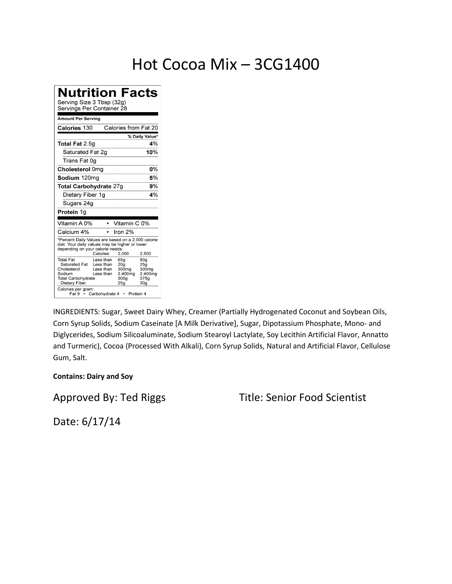### Hot Cocoa Mix – 3CG1400

**Nutrition Facts** Serving Size 3 Tbsp (32g) Servings Per Container 28 **Amount Per Serving** Calories from Fat 20 Calories 130 % Daily Value\* Total Fat 2.5g 4% Saturated Fat 2g 10% Trans Fat 0g Cholesterol 0mg 0% Sodium 120mg  $5%$ Total Carbohydrate 27g  $9\%$ Dietary Fiber 1g  $4%$ Sugars 24g Protein 1g Vitamin A 0% • Vitamin C 0% Calcium 4%  $\cdot$  Iron 2% \*Percent Daily Values are based on a 2,000 calorie diet. Your daily values may be higher or lower<br>depending on your calorie needs: Calories: 2,000 2,500 80g<br>25g<br>300mg Total Fat Less than 65g Saturated Fat<br>Cholesterol Less than 20g<br>300mg Less than 2,400mg<br>300g 2,400mg<br>375g Sodium Less than Total Carbohydrate Dietary Fiber  $25g$  $30<sub>g</sub>$ Calories per gram:<br>Fat 9 · Carbohydrate 4 · Protein 4

INGREDIENTS: Sugar, Sweet Dairy Whey, Creamer (Partially Hydrogenated Coconut and Soybean Oils, Corn Syrup Solids, Sodium Caseinate [A Milk Derivative], Sugar, Dipotassium Phosphate, Mono- and Diglycerides, Sodium Silicoaluminate, Sodium Stearoyl Lactylate, Soy Lecithin Artificial Flavor, Annatto and Turmeric), Cocoa (Processed With Alkali), Corn Syrup Solids, Natural and Artificial Flavor, Cellulose Gum, Salt.

#### **Contains: Dairy and Soy**

Approved By: Ted Riggs Title: Senior Food Scientist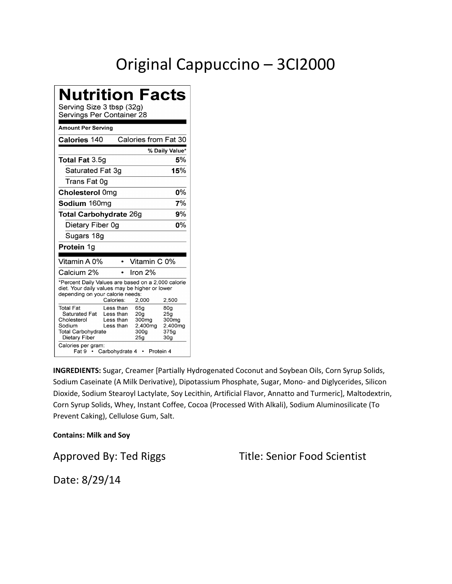# Original Cappuccino – 3CI2000

| Nutrition Facts<br>Serving Size 3 tbsp (32g)<br>Servings Per Container 28                                                                  |                                                                    |                                                                                     |                                                                                   |
|--------------------------------------------------------------------------------------------------------------------------------------------|--------------------------------------------------------------------|-------------------------------------------------------------------------------------|-----------------------------------------------------------------------------------|
| Amount Per Serving                                                                                                                         |                                                                    |                                                                                     |                                                                                   |
| Calories 140                                                                                                                               |                                                                    | Calories from Fat 30                                                                |                                                                                   |
|                                                                                                                                            |                                                                    |                                                                                     | % Daily Value*                                                                    |
| Total Fat 3.5g                                                                                                                             |                                                                    |                                                                                     | 5%                                                                                |
| Saturated Fat 3g                                                                                                                           |                                                                    |                                                                                     | 15%                                                                               |
| Trans Fat 0g                                                                                                                               |                                                                    |                                                                                     |                                                                                   |
| Cholesterol 0mg                                                                                                                            |                                                                    |                                                                                     | 0%                                                                                |
| Sodium 160mg                                                                                                                               |                                                                    |                                                                                     | 7%                                                                                |
| Total Carbohydrate 26g                                                                                                                     |                                                                    |                                                                                     | 9%                                                                                |
| Dietary Fiber 0g                                                                                                                           |                                                                    |                                                                                     | 0%                                                                                |
| Sugars 18g                                                                                                                                 |                                                                    |                                                                                     |                                                                                   |
| Protein 1g                                                                                                                                 |                                                                    |                                                                                     |                                                                                   |
| Vitamin A 0%                                                                                                                               |                                                                    | Vitamin C 0%                                                                        |                                                                                   |
| Calcium 2%                                                                                                                                 |                                                                    | Iron $2%$                                                                           |                                                                                   |
| *Percent Daily Values are based on a 2,000 calorie<br>diet. Your daily values may be higher or lower<br>depending on your calorie needs:   | Calories:                                                          | 2,000                                                                               | 2,500                                                                             |
| <b>Total Fat</b><br>Saturated Fat<br>Cholesterol<br>Sodium<br><b>Total Carbohydrate</b><br>Dietary Fiber<br>Calories per gram:<br>Fat 9  ∙ | Less than<br>Less than<br>Less than<br>Less than<br>Carbohydrate 4 | 65g<br>20a<br>300mg<br>2,400mg<br>300a<br>25 <sub>g</sub><br>Protein 4<br>$\bullet$ | 80 <sub>q</sub><br>25 <sub>g</sub><br>300mg<br>2,400mg<br>375a<br>30 <sub>g</sub> |

**INGREDIENTS:** Sugar, Creamer [Partially Hydrogenated Coconut and Soybean Oils, Corn Syrup Solids, Sodium Caseinate (A Milk Derivative), Dipotassium Phosphate, Sugar, Mono- and Diglycerides, Silicon Dioxide, Sodium Stearoyl Lactylate, Soy Lecithin, Artificial Flavor, Annatto and Turmeric], Maltodextrin, Corn Syrup Solids, Whey, Instant Coffee, Cocoa (Processed With Alkali), Sodium Aluminosilicate (To Prevent Caking), Cellulose Gum, Salt.

#### **Contains: Milk and Soy**

Approved By: Ted Riggs Title: Senior Food Scientist

Date: 8/29/14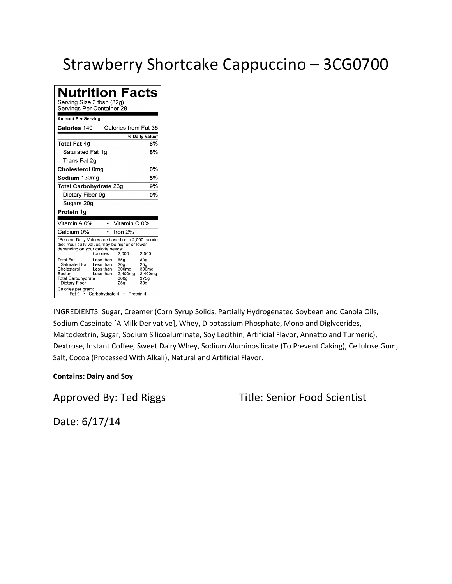# Strawberry Shortcake Cappuccino – 3CG0700

| <b>Nutrition Facts</b><br>Serving Size 3 tbsp (32g)<br>Servings Per Container 28                                                         |                                                                            |                                                                                    |                                                                       |  |
|------------------------------------------------------------------------------------------------------------------------------------------|----------------------------------------------------------------------------|------------------------------------------------------------------------------------|-----------------------------------------------------------------------|--|
| <b>Amount Per Serving</b>                                                                                                                |                                                                            |                                                                                    |                                                                       |  |
| Calories 140                                                                                                                             |                                                                            | Calories from Fat 35                                                               |                                                                       |  |
|                                                                                                                                          |                                                                            |                                                                                    | % Daily Value*                                                        |  |
| Total Fat 4g                                                                                                                             |                                                                            |                                                                                    | 6%                                                                    |  |
| Saturated Fat 1ɑ                                                                                                                         |                                                                            |                                                                                    | 5%                                                                    |  |
| Trans Fat 2g                                                                                                                             |                                                                            |                                                                                    |                                                                       |  |
| Cholesterol 0mg                                                                                                                          |                                                                            |                                                                                    | $0\%$                                                                 |  |
| Sodium 130mg                                                                                                                             |                                                                            |                                                                                    | 5%                                                                    |  |
| 9%<br>Total Carbohydrate 26g                                                                                                             |                                                                            |                                                                                    |                                                                       |  |
| Dietary Fiber 0g                                                                                                                         |                                                                            |                                                                                    | 0%                                                                    |  |
| Sugars 20g                                                                                                                               |                                                                            |                                                                                    |                                                                       |  |
| Protein 1g                                                                                                                               |                                                                            |                                                                                    |                                                                       |  |
| Vitamin A 0%                                                                                                                             | $\bullet$                                                                  | Vitamin C 0%                                                                       |                                                                       |  |
| Calcium 0%                                                                                                                               | $\bullet$                                                                  | Iron 2%                                                                            |                                                                       |  |
| *Percent Daily Values are based on a 2,000 calorie<br>diet. Your daily values may be higher or lower<br>depending on your calorie needs: | Calories:                                                                  | 2,000                                                                              | 2.500                                                                 |  |
| Total Fat<br>Saturated Fat<br>Cholesterol<br>Sodium<br><b>Total Carbohydrate</b><br>Dietary Fiber<br>Calories per gram:                  | Less than<br>Less than<br>Less than<br>Less than<br>Fat 9 • Carbohydrate 4 | 65g<br>20 <sub>g</sub><br>300mg<br>2,400mg<br>300a<br>25 <sub>g</sub><br>Protein 4 | 80g<br>25 <sub>g</sub><br>300mg<br>2,400mg<br>375a<br>30 <sub>g</sub> |  |

INGREDIENTS: Sugar, Creamer (Corn Syrup Solids, Partially Hydrogenated Soybean and Canola Oils, Sodium Caseinate [A Milk Derivative], Whey, Dipotassium Phosphate, Mono and Diglycerides, Maltodextrin, Sugar, Sodium Silicoaluminate, Soy Lecithin, Artificial Flavor, Annatto and Turmeric), Dextrose, Instant Coffee, Sweet Dairy Whey, Sodium Aluminosilicate (To Prevent Caking), Cellulose Gum, Salt, Cocoa (Processed With Alkali), Natural and Artificial Flavor.

#### **Contains: Dairy and Soy**

Approved By: Ted Riggs Title: Senior Food Scientist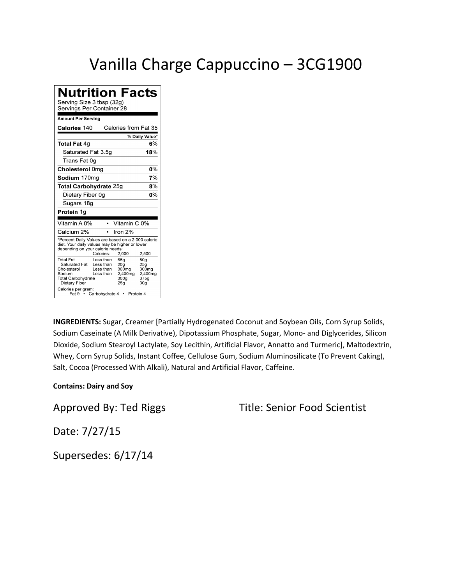### Vanilla Charge Cappuccino – 3CG1900

**Nutrition Facts** Serving Size 3 tbsp (32g) Servings Per Container 28 **Amount Per Serving** Calories 140 Calories from Fat 35 % Daily Value\* **Total Fat 4g**  $6%$ Saturated Fat 3.5g 18% Trans Fat 0g Cholesterol 0mg 0% Sodium 170mg  $\overline{7\%}$ Total Carbohydrate 25g  $\mathbf{8\%}$ Dietary Fiber 0g  $\overline{0\%}$ Sugars 18g Protein 1g Vitamin A 0% • Vitamin C 0% Calcium 2%  $\cdot$  Iron 2% \*Percent Daily Values are based on a 2,000 calorie diet. Your daily values may be higher or lower<br>depending on your calorie needs: 2,000 2,500 Calories: 80g<br>25g<br>300mg Total Fat Less than 65g Saturated Fat Less than<br>Cholesterol Less than  $20g$ <br> $300mg$ 2,400mg<br>300g 2,400mg<br>375g Sodium Less than Total Carbohydrate Dietary Fiber  $25g$ 30g Calories per gram:<br>Fat 9 · Carbohydrate 4 · Protein 4

**INGREDIENTS:** Sugar, Creamer [Partially Hydrogenated Coconut and Soybean Oils, Corn Syrup Solids, Sodium Caseinate (A Milk Derivative), Dipotassium Phosphate, Sugar, Mono- and Diglycerides, Silicon Dioxide, Sodium Stearoyl Lactylate, Soy Lecithin, Artificial Flavor, Annatto and Turmeric], Maltodextrin, Whey, Corn Syrup Solids, Instant Coffee, Cellulose Gum, Sodium Aluminosilicate (To Prevent Caking), Salt, Cocoa (Processed With Alkali), Natural and Artificial Flavor, Caffeine.

#### **Contains: Dairy and Soy**

Approved By: Ted Riggs Title: Senior Food Scientist

Date: 7/27/15

Supersedes: 6/17/14